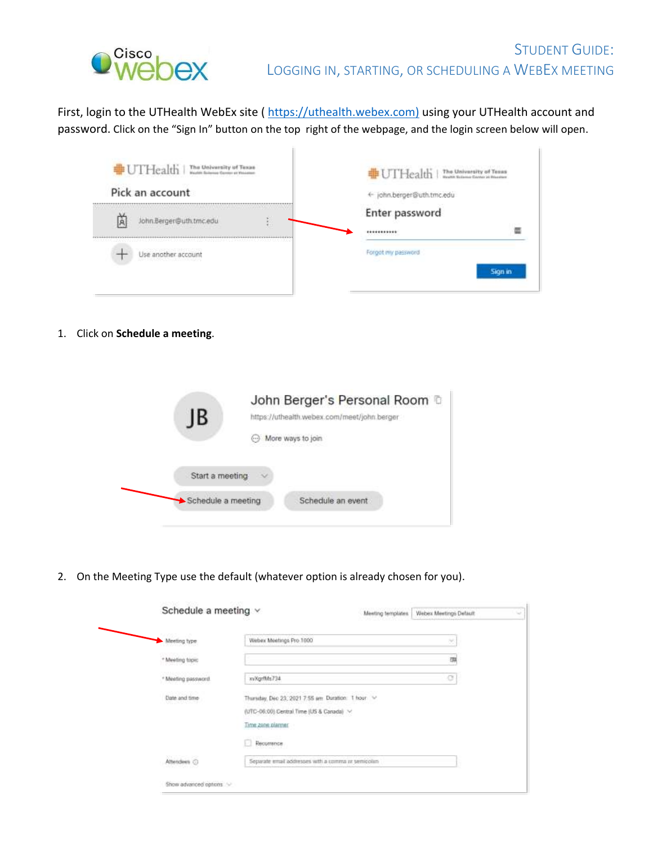

First, login to the UTHealth WebEx site ( [https://uthealth.webex.com\)](https://uthealth.webex.com/) using your UTHealth account and password. Click on the "Sign In" button on the top right of the webpage, and the login screen below will open.

| # UTHealth<br>The University of Texas<br>Hell Salmon Conto at Houston<br>Pick an account | The University of Texas<br>Reals follows Control of Reader<br><b>非UTHealth</b><br>john.berger@uth.tmc.edu |
|------------------------------------------------------------------------------------------|-----------------------------------------------------------------------------------------------------------|
| John.Berger@uth.tmc.edu                                                                  | Enter password                                                                                            |
| man e simbolización de la                                                                |                                                                                                           |
| Use another account<br>부산 회에 관련이 한다. 기분이 화학 전쟁                                           | Forgot my password                                                                                        |

T

1. Click on **Schedule a meeting**.

| IB                 | John Berger's Personal Room to<br>https://uthealth.webex.com/meet/john.berger |
|--------------------|-------------------------------------------------------------------------------|
|                    | More ways to join.                                                            |
| Start a meeting    |                                                                               |
| Schedule a meeting | Schedule an event                                                             |

2. On the Meeting Type use the default (whatever option is already chosen for you).

| Schedule a meeting v           |                                                                                                                    | Meeting templates | Webex Meetings Default |
|--------------------------------|--------------------------------------------------------------------------------------------------------------------|-------------------|------------------------|
| Meeting type:                  | Webox Meetings Pro 1000                                                                                            |                   | ×                      |
| * Meeting topic                |                                                                                                                    |                   | m                      |
| * Meeting password.            | xvXgrfMs734                                                                                                        |                   | G                      |
| Date and time<br>10월 24일부터 사이트 | Thursday, Dec 23, 2021 7:55 am Duration: 1 hour ~<br>(UTC-06:00) Central Time (US & Canada) ><br>Time zone planner |                   |                        |
|                                | Recurrence<br>n<br>a Maria Maria Maria I                                                                           |                   |                        |
| Attendees ©<br>가수가 먹을 때 가서     | Separate email addresses with a comma at semicolari-                                                               |                   |                        |
| Show advanced options          |                                                                                                                    |                   |                        |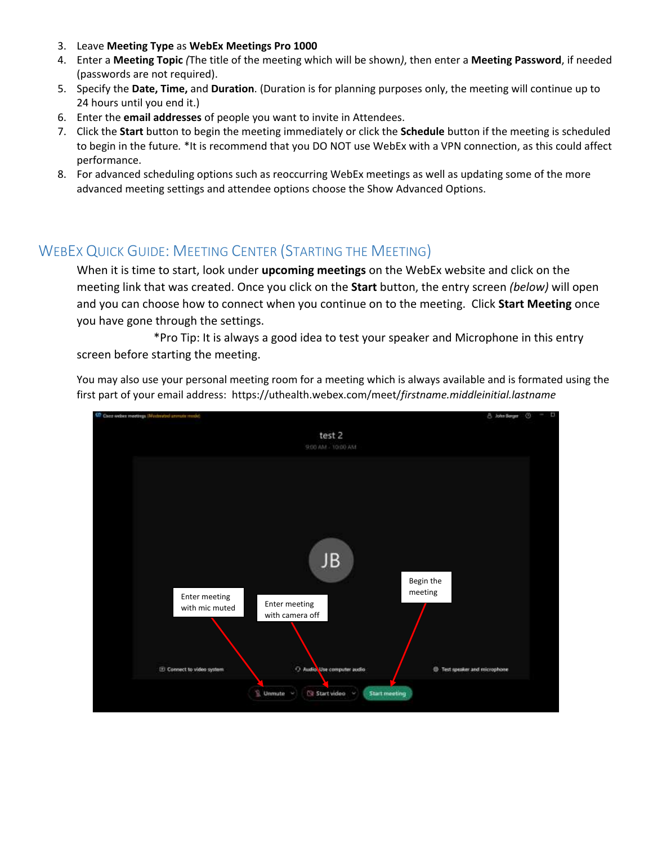- 3. Leave **Meeting Type** as **WebEx Meetings Pro 1000**
- 4. Enter a **Meeting Topic** *(*The title of the meeting which will be shown*)*, then enter a **Meeting Password**, if needed (passwords are not required).
- 5. Specify the **Date, Time,** and **Duration**. (Duration is for planning purposes only, the meeting will continue up to 24 hours until you end it.)
- 6. Enter the **email addresses** of people you want to invite in Attendees.
- 7. Click the **Start** button to begin the meeting immediately or click the **Schedule** button if the meeting is scheduled to begin in the future*.* \*It is recommend that you DO NOT use WebEx with a VPN connection, as this could affect performance.
- 8. For advanced scheduling options such as reoccurring WebEx meetings as well as updating some of the more advanced meeting settings and attendee options choose the Show Advanced Options.

## WEBEX QUICK GUIDE: MEETING CENTER (STARTING THE MEETING)

When it is time to start, look under **upcoming meetings** on the WebEx website and click on the meeting link that was created. Once you click on the **Start** button, the entry screen *(below)* will open and you can choose how to connect when you continue on to the meeting. Click **Start Meeting** once you have gone through the settings.

\*Pro Tip: It is always a good idea to test your speaker and Microphone in this entry screen before starting the meeting.

You may also use your personal meeting room for a meeting which is always available and is formated using the first part of your email address: https://uthealth.webex.com/meet/*firstname.middleinitial.lastname*